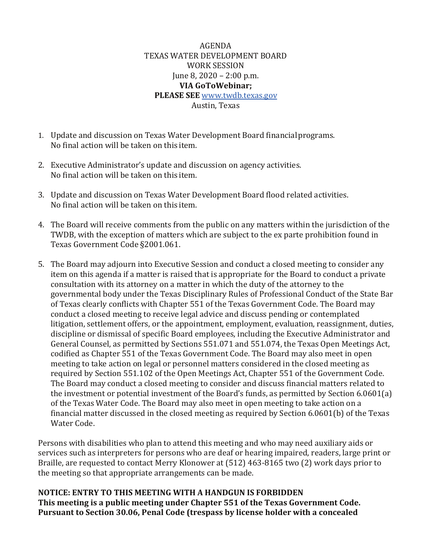AGENDA TEXAS WATER DEVELOPMENT BOARD WORK SESSION June 8, 2020 – 2:00 p.m. **VIA GoToWebinar; PLEASE SEE** [www.twdb.texas.gov](http://www.twdb.texas.gov/) Austin, Texas

- 1. Update and discussion on Texas Water Development Board financialprograms. No final action will be taken on this item.
- 2. Executive Administrator's update and discussion on agency activities. No final action will be taken on this item.
- 3. Update and discussion on Texas Water Development Board flood related activities. No final action will be taken on this item.
- 4. The Board will receive comments from the public on any matters within the jurisdiction of the TWDB, with the exception of matters which are subject to the ex parte prohibition found in Texas Government Code §2001.061.
- 5. The Board may adjourn into Executive Session and conduct a closed meeting to consider any item on this agenda if a matter is raised that is appropriate for the Board to conduct a private consultation with its attorney on a matter in which the duty of the attorney to the governmental body under the Texas Disciplinary Rules of Professional Conduct of the State Bar of Texas clearly conflicts with Chapter 551 of the Texas Government Code. The Board may conduct a closed meeting to receive legal advice and discuss pending or contemplated litigation, settlement offers, or the appointment, employment, evaluation, reassignment, duties, discipline or dismissal of specific Board employees, including the Executive Administrator and General Counsel, as permitted by Sections 551.071 and 551.074, the Texas Open Meetings Act, codified as Chapter 551 of the Texas Government Code. The Board may also meet in open meeting to take action on legal or personnel matters considered in the closed meeting as required by Section 551.102 of the Open Meetings Act, Chapter 551 of the Government Code. The Board may conduct a closed meeting to consider and discuss financial matters related to the investment or potential investment of the Board's funds, as permitted by Section 6.0601(a) of the Texas Water Code. The Board may also meet in open meeting to take action on a financial matter discussed in the closed meeting as required by Section 6.0601(b) of the Texas Water Code.

Persons with disabilities who plan to attend this meeting and who may need auxiliary aids or services such as interpreters for persons who are deaf or hearing impaired, readers, large print or Braille, are requested to contact Merry Klonower at (512) 463-8165 two (2) work days prior to the meeting so that appropriate arrangements can be made.

**NOTICE: ENTRY TO THIS MEETING WITH A HANDGUN IS FORBIDDEN This meeting is a public meeting under Chapter 551 of the Texas Government Code. Pursuant to Section 30.06, Penal Code (trespass by license holder with a concealed**